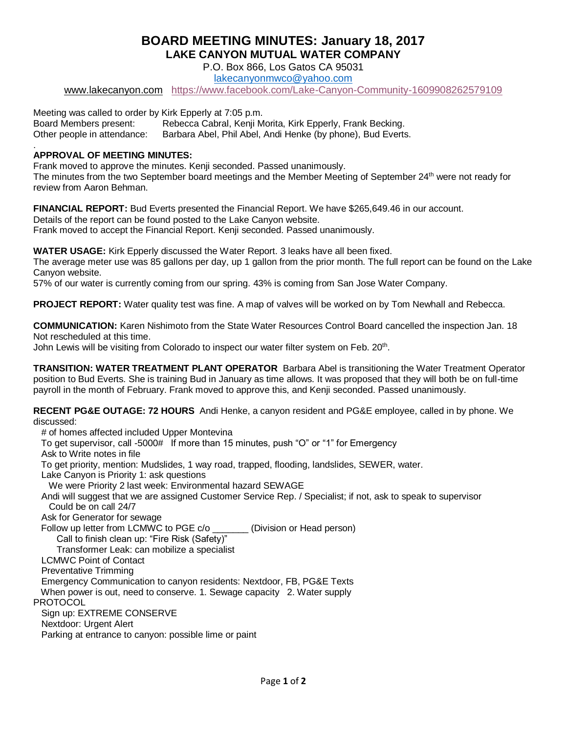## **BOARD MEETING MINUTES: January 18, 2017 LAKE CANYON MUTUAL WATER COMPANY**

P.O. Box 866, Los Gatos CA 95031

[lakecanyonmwco@yahoo.com](mailto:lakecanyonmwco@yahoo.com) 

[www.lakecanyon.com](http://h) <https://www.facebook.com/Lake-Canyon-Community-1609908262579109>

Meeting was called to order by Kirk Epperly at 7:05 p.m. Board Members present: Rebecca Cabral, Kenji Morita, Kirk Epperly, Frank Becking. Other people in attendance: Barbara Abel, Phil Abel, Andi Henke (by phone), Bud Everts. .

## **APPROVAL OF MEETING MINUTES:**

Frank moved to approve the minutes. Kenji seconded. Passed unanimously. The minutes from the two September board meetings and the Member Meeting of September 24th were not ready for review from Aaron Behman.

**FINANCIAL REPORT:** Bud Everts presented the Financial Report. We have \$265,649.46 in our account. Details of the report can be found posted to the Lake Canyon website. Frank moved to accept the Financial Report. Kenji seconded. Passed unanimously.

**WATER USAGE:** Kirk Epperly discussed the Water Report. 3 leaks have all been fixed.

The average meter use was 85 gallons per day, up 1 gallon from the prior month. The full report can be found on the Lake Canyon website.

57% of our water is currently coming from our spring. 43% is coming from San Jose Water Company.

**PROJECT REPORT:** Water quality test was fine. A map of valves will be worked on by Tom Newhall and Rebecca.

**COMMUNICATION:** Karen Nishimoto from the State Water Resources Control Board cancelled the inspection Jan. 18 Not rescheduled at this time.

John Lewis will be visiting from Colorado to inspect our water filter system on Feb. 20<sup>th</sup>.

**TRANSITION: WATER TREATMENT PLANT OPERATOR** Barbara Abel is transitioning the Water Treatment Operator position to Bud Everts. She is training Bud in January as time allows. It was proposed that they will both be on full-time payroll in the month of February. Frank moved to approve this, and Kenji seconded. Passed unanimously.

**RECENT PG&E OUTAGE: 72 HOURS** Andi Henke, a canyon resident and PG&E employee, called in by phone. We discussed:

# of homes affected included Upper Montevina

To get supervisor, call -5000# If more than 15 minutes, push "O" or "1" for Emergency

Ask to Write notes in file

To get priority, mention: Mudslides, 1 way road, trapped, flooding, landslides, SEWER, water.

Lake Canyon is Priority 1: ask questions

We were Priority 2 last week: Environmental hazard SEWAGE

 Andi will suggest that we are assigned Customer Service Rep. / Specialist; if not, ask to speak to supervisor Could be on call 24/7

Ask for Generator for sewage

Follow up letter from LCMWC to PGE c/o \_\_\_\_\_\_\_ (Division or Head person)

Call to finish clean up: "Fire Risk (Safety)"

Transformer Leak: can mobilize a specialist

LCMWC Point of Contact

Preventative Trimming

Emergency Communication to canyon residents: Nextdoor, FB, PG&E Texts

When power is out, need to conserve. 1. Sewage capacity 2. Water supply

PROTOCOL

Sign up: EXTREME CONSERVE

Nextdoor: Urgent Alert

Parking at entrance to canyon: possible lime or paint